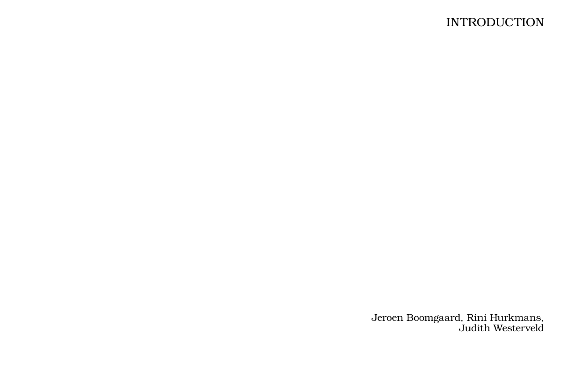## **INTRODUCTION**

Jeroen Boomgaard, Rini Hurkmans, Judith Westerveld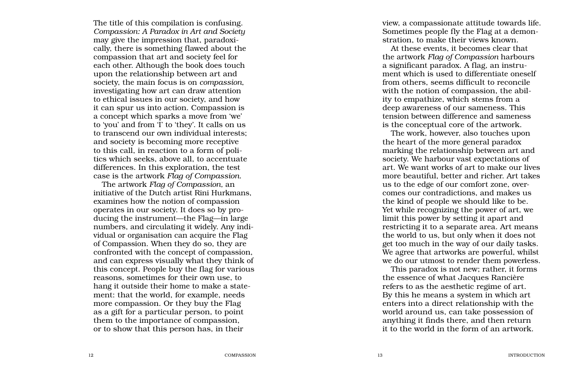The title of this compilation is confusing. *Compassion: A Paradox in Art and Society* may give the impression that, paradoxi cally, there is something flawed about the compassion that art and society feel for each other. Although the book does touch upon the relationship between art and society, the main focus is on *compassion*, investigating how art can draw attention to ethical issues in our society, and how it can spur us into action. Compassion is a concept which sparks a move from 'we' to 'you' and from ' I' to 'they'. It calls on us to transcend our own individual interests; and society is becoming more receptive to this call, in reaction to a form of poli tics which seeks, above all, to accentuate differences. In this exploration, the test case is the artwork *Flag of Compassion* .

The artwork *Flag of Compassion,* an initiative of the Dutch artist Rini Hurkmans, examines how the notion of compassion operates in our society. It does so by pro ducing the instrument—the Flag—in large numbers, and circulating it widely. Any indi vidual or organisation can acquire the Flag of Compassion. When they do so, they are confronted with the concept of compassion, and can express visually what they think of this concept. People buy the flag for various reasons, sometimes for their own use, to hang it outside their home to make a state ment: that the world, for example, needs more compassion. Or they buy the Flag as a gift for a particular person, to point them to the importance of compassion, or to show that this person has, in their

view, a compassionate attitude towards life. Sometimes people fly the Flag at a demonstration, to make their views known.

At these events, it becomes clear that the artwork *Flag of Compassion* harbours a significant paradox. A flag, an instru ment which is used to differentiate oneself from others, seems difficult to reconcile with the notion of compassion, the abil ity to empathize, which stems from a deep awareness of our sameness. This tension between difference and sameness is the conceptual core of the artwork.

The work, however, also touches upon the heart of the more general paradox marking the relationship between art and society. We harbour vast expectations of art. We want works of art to make our lives more beautiful, better and richer. Art takes us to the edge of our comfort zone, overcomes our contradictions, and makes us the kind of people we should like to be. Yet while recognizing the power of art, we limit this power by setting it apart and restricting it to a separate area. Art means the world to us, but only when it does not get too much in the way of our daily tasks. We agree that artworks are powerful, whilst we do our utmost to render them powerless.

This paradox is not new; rather, it forms the essence of what Jacques Rancière refers to as the aesthetic regime of art. By this he means a system in which art enters into a direct relationship with the world around us, can take possession of anything it finds there, and then return it to the world in the form of an artwork.